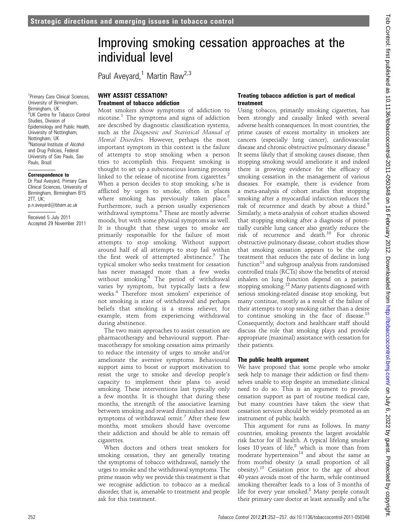Paul Aveyard,<sup>1</sup> Martin Raw<sup>2,3</sup>

<sup>1</sup> Primary Care Clinical Sciences, University of Birmingham, Birmingham, UK 2 UK Centre for Tobacco Control Studies, Division of Epidemiology and Public Health, University of Nottingham, Nottingham, UK 3 National Institute of Alcohol and Drug Policies, Federal University of Sao Paulo, Sao Paulo, Brazil

#### Correspondence to

Dr Paul Aveyard, Primary Care Clinical Sciences, University of Birmingham, Birmingham B15  $2TT$ , UK $\cdot$ p.n.aveyard@bham.ac.uk

Received 5 July 2011 Accepted 29 November 2011

## WHY ASSIST CESSATION? Treatment of tobacco addiction

Most smokers show symptoms of addiction to nicotine.<sup>1</sup> The symptoms and signs of addiction are described by diagnostic classification systems, such as the Diagnostic and Statistical Manual of Mental Disorders. However, perhaps the most important symptom in this context is the failure of attempts to stop smoking when a person tries to accomplish this. Frequent smoking is thought to set up a subconscious learning process linked to the release of nicotine from cigarettes.<sup>2</sup> When a person decides to stop smoking, s/he is afflicted by urges to smoke, often in places where smoking has previously taken place.<sup>3</sup> Furthermore, such a person usually experiences withdrawal symptoms.<sup>4</sup> These are mostly adverse moods, but with some physical symptoms as well. It is thought that these urges to smoke are primarily responsible for the failure of most attempts to stop smoking. Without support around half of all attempts to stop fail within the first week of attempted abstinence.<sup>5</sup> The typical smoker who seeks treatment for cessation has never managed more than a few weeks without smoking.<sup>6</sup> The period of withdrawal varies by symptom, but typically lasts a few weeks.<sup>4</sup> Therefore most smokers' experience of not smoking is state of withdrawal and perhaps beliefs that smoking is a stress reliever, for example, stem from experiencing withdrawal during abstinence.

The two main approaches to assist cessation are pharmacotherapy and behavioural support. Pharmacotherapy for smoking cessation aims primarily to reduce the intensity of urges to smoke and/or ameliorate the aversive symptoms. Behavioural support aims to boost or support motivation to resist the urge to smoke and develop people's capacity to implement their plans to avoid smoking. These interventions last typically only a few months. It is thought that during these months, the strength of the associative learning between smoking and reward diminishes and most symptoms of withdrawal remit.<sup>7</sup> After these few months, most smokers should have overcome their addiction and should be able to remain off cigarettes.

When doctors and others treat smokers for smoking cessation, they are generally treating the symptoms of tobacco withdrawal, namely the urges to smoke and the withdrawal symptoms. The prime reason why we provide this treatment is that we recognise addiction to tobacco as a medical disorder, that is, amenable to treatment and people ask for this treatment.

#### Treating tobacco addiction is part of medical treatment

Using tobacco, primarily smoking cigarettes, has been strongly and causally linked with several adverse health consequences. In most countries, the prime causes of excess mortality in smokers are cancers (especially lung cancer), cardiovascular disease and chronic obstructive pulmonary disease.<sup>8</sup> It seems likely that if smoking causes disease, then stopping smoking would ameliorate it and indeed there is growing evidence for the efficacy of smoking cessation in the management of various diseases. For example, there is evidence from a meta-analysis of cohort studies that stopping smoking after a myocardial infarction reduces the risk of recurrence and death by about a third.<sup>9</sup> Similarly, a meta-analysis of cohort studies showed that stopping smoking after a diagnosis of potentially curable lung cancer also greatly reduces the risk of recurrence and death.<sup>10</sup> For chronic obstructive pulmonary disease, cohort studies show that smoking cessation appears to be the only treatment that reduces the rate of decline in lung function $^{11}$  and subgroup analysis from randomised controlled trials (RCTs) show the benefits of steroid inhalers on lung function depend on a patient stopping smoking.<sup>12</sup> Many patients diagnosed with serious smoking-related disease stop smoking, but many continue, mostly as a result of the failure of their attempts to stop smoking rather than a desire to continue smoking in the face of disease.<sup>13</sup> Consequently, doctors and healthcare staff should discuss the role that smoking plays and provide appropriate (maximal) assistance with cessation for their patients.

### The public health argument

We have proposed that some people who smoke seek help to manage their addiction or find themselves unable to stop despite an immediate clinical need to do so. This is an argument to provide cessation support as part of routine medical care, but many countries have taken the view that cessation services should be widely promoted as an instrument of public health.

This argument for runs as follows. In many countries, smoking presents the largest avoidable risk factor for ill health. A typical lifelong smoker loses 10 years of life, $8$  which is more than from moderate hypertension $14$  and about the same as from morbid obesity (a small proportion of all obesity).<sup>15</sup> Cessation prior to the age of about 40 years avoids most of the harm, while continued smoking thereafter leads to a loss of 3 months of life for every year smoked. $8$  Many people consult their primary care doctor at least annually and s/he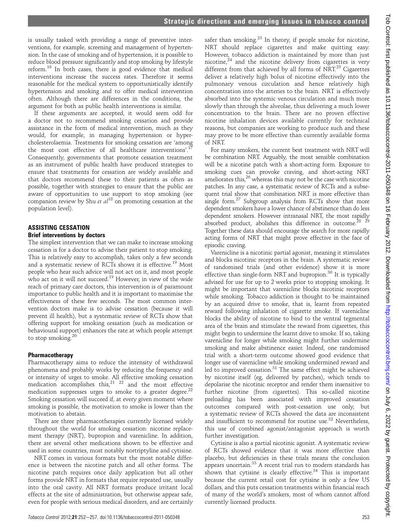is usually tasked with providing a range of preventive interventions, for example, screening and management of hypertension. In the case of smoking and of hypertension, it is possible to reduce blood pressure significantly and stop smoking by lifestyle reform.<sup>16</sup> In both cases, there is good evidence that medical interventions increase the success rates. Therefore it seems reasonable for the medical system to opportunistically identify hypertension and smoking and to offer medical intervention often. Although there are differences in the conditions, the argument for both as public health interventions is similar.

If these arguments are accepted, it would seem odd for a doctor not to recommend smoking cessation and provide assistance in the form of medical intervention, much as they would, for example, in managing hypertension or hypercholesterolaemia. Treatments for smoking cessation are 'among the most cost effective of all healthcare interventions'.<sup>17</sup> Consequently, governments that promote cessation treatment as an instrument of public health have produced strategies to ensure that treatments for cessation are widely available and that doctors recommend these to their patients as often as possible, together with strategies to ensure that the public are aware of opportunities to use support to stop smoking (see companion review by Shu *et al*<sup>18</sup> on promoting cessation at the population level).

#### ASSISTING CESSATION Brief interventions by doctors

The simplest intervention that we can make to increase smoking cessation is for a doctor to advise their patient to stop smoking. This is relatively easy to accomplish, takes only a few seconds and a systematic review of RCTs shows it is effective.<sup>19</sup> Most people who hear such advice will not act on it, and most people who act on it will not succeed.<sup>19</sup> However, in view of the wide reach of primary care doctors, this intervention is of paramount importance to public health and it is important to maximise the effectiveness of these few seconds. The most common intervention doctors make is to advise cessation (because it will prevent ill health), but a systematic review of RCTs show that offering support for smoking cessation (such as medication or behavioural support) enhances the rate at which people attempt to stop smoking. $20$ 

#### Pharmacotherapy

Pharmacotherapy aims to reduce the intensity of withdrawal phenomena and probably works by reducing the frequency and or intensity of urges to smoke. All effective smoking cessation medication accomplishes this,<sup>21</sup> <sup>22</sup> and the most effective medication suppresses urges to smoke to a greater degree.<sup>22</sup> Smoking cessation will succeed if, at every given moment where smoking is possible, the motivation to smoke is lower than the motivation to abstain.

There are three pharmacotherapies currently licensed widely throughout the world for smoking cessation: nicotine replacement therapy (NRT), bupropion and varenicline. In addition, there are several other medications shown to be effective and used in some countries, most notably nortriptyline and cytisine.

NRT comes in various formats but the most notable difference is between the nicotine patch and all other forms. The nicotine patch requires once daily application but all other forms provide NRT in formats that require repeated use, usually into the oral cavity. All NRT formats produce irritant local effects at the site of administration, but otherwise appear safe, even for people with serious medical disorders, and are certainly

safer than smoking. $23$  In theory, if people smoke for nicotine, NRT should replace cigarettes and make quitting easy. However, tobacco addiction is maintained by more than just nicotine, $24$  and the nicotine delivery from cigarettes is very different from that achieved by all forms of  $NRT^{25}$  Cigarettes deliver a relatively high bolus of nicotine effectively into the pulmonary venous circulation and hence relatively high concentration into the arteries to the brain. NRT is effectively absorbed into the systemic venous circulation and much more slowly than through the alveolae, thus delivering a much lower concentration to the brain. There are no proven effective nicotine inhalation devices available currently for technical reasons, but companies are working to produce such and these may prove to be more effective than currently available forms of NRT. For many smokers, the current best treatment with NRT will

be combination NRT. Arguably, the most sensible combination will be a nicotine patch with a short-acting form. Exposure to smoking cues can provoke craving, and short-acting NRT ameliorates this,  $26$  whereas this may not be the case with nicotine patches. In any case, a systematic review of RCTs and a subsequent trial show that combination NRT is more effective than single form. $27$  Subgroup analysis from RCTs show that more dependent smokers have a lower chance of abstinence than do less dependent smokers. However intranasal NRT, the most rapidly absorbed product, abolishes this difference in outcome.<sup>28 29</sup> Together these data should encourage the search for more rapidly acting forms of NRT that might prove effective in the face of episodic craving.

Varenicline is a nicotinic partial agonist, meaning it stimulates and blocks nicotinic receptors in the brain. A systematic review of randomised trials (and other evidence) show it is more effective than single-form NRT and bupropion. $30$  It is typically advised for use for up to 2 weeks prior to stopping smoking. It might be important that varenicline blocks nicotinic receptors while smoking. Tobacco addiction is thought to be maintained by an acquired drive to smoke, that is, learnt from repeated reward following inhalation of cigarette smoke. If varenicline blocks the ability of nicotine to bind to the ventral tegmental area of the brain and stimulate the reward from cigarettes, this might begin to undermine the learnt drive to smoke. If so, taking varenicline for longer while smoking might further undermine smoking and make abstinence easier. Indeed, one randomised trial with a short-term outcome showed good evidence that longer use of varenicline while smoking undermined reward and led to improved cessation.<sup>31</sup> The same effect might be achieved by nicotine itself (eg, delivered by patches), which tends to depolarise the nicotinic receptor and render them insensitive to further nicotine (from cigarettes). This so-called nicotine preloading has been associated with improved cessation outcomes compared with post-cessation use only, but a systematic review of RCTs showed the data are inconsistent and insufficient to recommend for routine use.<sup>32</sup> Nevertheless, this use of combined agonist/antagonist approach is worth further investigation.

Cytisine is also a partial nicotinic agonist. A systematic review of RCTs showed evidence that it was more effective than placebo, but deficiencies in these trials means the conclusion appears uncertain.<sup>33</sup> A recent trial run to modern standards has shown that cytisine is clearly effective.<sup>34</sup> This is important because the current retail cost for cytisine is only a few US dollars, and this puts cessation treatments within financial reach of many of the world's smokers, most of whom cannot afford currently licensed products.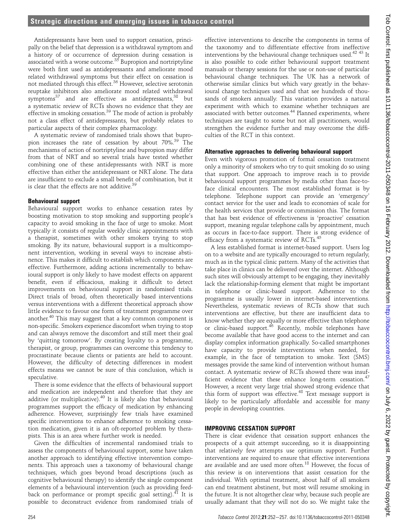Antidepressants have been used to support cessation, principally on the belief that depression is a withdrawal symptom and a history of or occurrence of depression during cessation is associated with a worse outcome.<sup>35</sup> Bupropion and nortriptyline were both first used as antidepressants and ameliorate mood related withdrawal symptoms but their effect on cessation is not mediated through this effect.<sup>36</sup> However, selective serotonin reuptake inhibitors also ameliorate mood related withdrawal symptoms<sup>37</sup> and are effective as antidepressants,<sup>38</sup> but a systematic review of RCTs shows no evidence that they are effective in smoking cessation.<sup>39</sup> The mode of action is probably not a class effect of antidepressants, but probably relates to particular aspects of their complex pharmacology.

A systematic review of randomised trials shows that bupropion increases the rate of cessation by about 70%.<sup>39</sup> The mechanisms of action of nortriptyline and bupropion may differ from that of NRT and so several trials have tested whether combining one of these antidepressants with NRT is more effective than either the antidepressant or NRT alone. The data are insufficient to exclude a small benefit of combination, but it is clear that the effects are not additive. $39$ 

## Behavioural support

Behavioural support works to enhance cessation rates by boosting motivation to stop smoking and supporting people's capacity to avoid smoking in the face of urge to smoke. Most typically it consists of regular weekly clinic appointments with a therapist, sometimes with other smokers trying to stop smoking. By its nature, behavioural support is a multicomponent intervention, working in several ways to increase abstinence. This makes it difficult to establish which components are effective. Furthermore, adding actions incrementally to behavioural support is only likely to have modest effects on apparent benefit, even if efficacious, making it difficult to detect improvements on behavioural support in randomised trials. Direct trials of broad, often theoretically based interventions versus interventions with a different theoretical approach show little evidence to favour one form of treatment programme over another. $40$  This may suggest that a key common component is non-specific. Smokers experience discomfort when trying to stop and can always remove the discomfort and still meet their goal by 'quitting tomorrow'. By creating loyalty to a programme, therapist, or group, programmes can overcome this tendency to procrastinate because clients or patients are held to account. However, the difficulty of detecting differences in modest effects means we cannot be sure of this conclusion, which is speculative.

There is some evidence that the effects of behavioural support and medication are independent and therefore that they are additive (or multiplicative).<sup>40</sup> It is likely also that behavioural programmes support the efficacy of medication by enhancing adherence. However, surprisingly few trials have examined specific interventions to enhance adherence to smoking cessation medication, given it is an oft-reported problem by therapists. This is an area where further work is needed.

Given the difficulties of incremental randomised trials to assess the components of behavioural support, some have taken another approach to identifying effective intervention components. This approach uses a taxonomy of behavioural change techniques, which goes beyond broad descriptions (such as cognitive behavioural therapy) to identify the single component elements of a behavioural intervention (such as providing feedback on performance or prompt specific goal setting). $^{41}$  It is possible to deconstruct evidence from randomised trials of

effective interventions to describe the components in terms of the taxonomy and to differentiate effective from ineffective interventions by the behavioural change techniques used.<sup>42 43</sup> It is also possible to code either behavioural support treatment manuals or therapy sessions for the use or non-use of particular behavioural change techniques. The UK has a network of otherwise similar clinics but which vary greatly in the behavioural change techniques used and that see hundreds of thousands of smokers annually. This variation provides a natural experiment with which to examine whether techniques are associated with better outcomes.<sup>44</sup> Planned experiments, where techniques are taught to some but not all practitioners, would strengthen the evidence further and may overcome the difficulties of the RCT in this context.

### Alternative approaches to delivering behavioural support

Even with vigorous promotion of formal cessation treatment only a minority of smokers who try to quit smoking do so using that support. One approach to improve reach is to provide behavioural support programmes by media other than face-toface clinical encounters. The most established format is by telephone. Telephone support can provide an 'emergency' contact service for the user and leads to economies of scale for the health services that provide or commission this. The format that has best evidence of effectiveness is 'proactive' cessation support, meaning regular telephone calls by appointment, much as occurs in face-to-face support. There is strong evidence of efficacy from a systematic review of RCTs.<sup>45</sup>

A less established format is internet-based support. Users log on to a website and are typically encouraged to return regularly, much as in the typical clinic pattern. Many of the activities that take place in clinics can be delivered over the internet. Although such sites will obviously attempt to be engaging, they inevitably lack the relationship-forming element that might be important in telephone or clinic-based support. Adherence to the programme is usually lower in internet-based interventions. Nevertheless, systematic reviews of RCTs show that such interventions are effective, but there are insufficient data to know whether they are equally or more effective than telephone or clinic-based support.<sup>46</sup> Recently, mobile telephones have become available that have good access to the internet and can display complex information graphically. So-called smartphones have capacity to provide interventions when needed, for example, in the face of temptation to smoke. Text (SMS) messages provide the same kind of intervention without human contact. A systematic review of RCTs showed there was insufficient evidence that these enhance long-term cessation.<sup>47</sup> However, a recent very large trial showed strong evidence that this form of support was effective.<sup>48</sup> Text message support is likely to be particularly affordable and accessible for many people in developing countries.

## IMPROVING CESSATION SUPPORT

There is clear evidence that cessation support enhances the prospects of a quit attempt succeeding, so it is disappointing that relatively few attempts use optimum support. Further interventions are required to ensure that effective interventions are available and are used more often.<sup>18</sup> However, the focus of this review is on interventions that assist cessation for the individual. With optimal treatment, about half of all smokers can end treatment abstinent, but most will resume smoking in the future. It is not altogether clear why, because such people are usually adamant that they will not do so. We might take the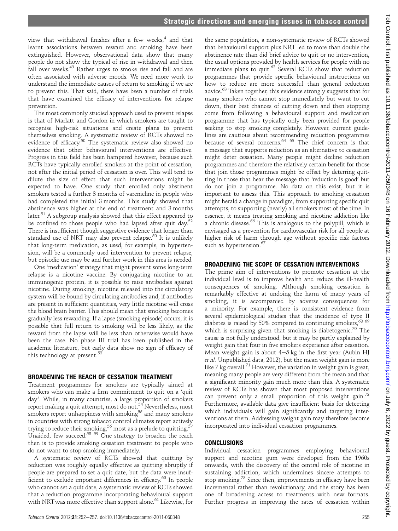view that withdrawal finishes after a few weeks, $4$  and that learnt associations between reward and smoking have been extinguished. However, observational data show that many people do not show the typical of rise in withdrawal and then fall over weeks.<sup>49</sup> Rather urges to smoke rise and fall and are often associated with adverse moods. We need more work to understand the immediate causes of return to smoking if we are to prevent this. That said, there have been a number of trials that have examined the efficacy of interventions for relapse prevention.

The most commonly studied approach used to prevent relapse is that of Marlatt and Gordon in which smokers are taught to recognise high-risk situations and create plans to prevent themselves smoking. A systematic review of RCTs showed no evidence of efficacy.<sup>50</sup> The systematic review also showed no evidence that other behavioural interventions are effective. Progress in this field has been hampered however, because such RCTs have typically enrolled smokers at the point of cessation, not after the initial period of cessation is over. This will tend to dilute the size of effect that such interventions might be expected to have. One study that enrolled only abstinent smokers tested a further 3 months of varenicline in people who had completed the initial 3 months. This study showed that abstinence was higher at the end of treatment and 3 months later.<sup>51</sup> A subgroup analysis showed that this effect appeared to be confined to those people who had lapsed after quit day.<sup>52</sup> There is insufficient though suggestive evidence that longer than standard use of NRT may also prevent relapse.<sup>50</sup> It is unlikely that long-term medication, as used, for example, in hypertension, will be a commonly used intervention to prevent relapse, but episodic use may be and further work in this area is needed.

One 'medication' strategy that might prevent some long-term relapse is a nicotine vaccine. By conjugating nicotine to an immunogenic protein, it is possible to raise antibodies against nicotine. During smoking, nicotine released into the circulatory system will be bound by circulating antibodies and, if antibodies are present in sufficient quantities, very little nicotine will cross the blood brain barrier. This should mean that smoking becomes gradually less rewarding. If a lapse (smoking episode) occurs, it is possible that full return to smoking will be less likely, as the reward from the lapse will be less than otherwise would have been the case. No phase III trial has been published in the academic literature, but early data show no sign of efficacy of this technology at present.<sup>53</sup>

# BROADENING THE REACH OF CESSATION TREATMENT

Treatment programmes for smokers are typically aimed at smokers who can make a firm commitment to quit on a 'quit day'. While, in many countries, a large proportion of smokers report making a quit attempt, most do not.<sup>54</sup> Nevertheless, most smokers report unhappiness with smoking $^{55}$  and many smokers in countries with strong tobacco control climates report actively trying to reduce their smoking, $^{56}$  most as a prelude to quitting. $^{57}$ Unaided, few succeed.<sup>58 59</sup> One strategy to broaden the reach then is to provide smoking cessation treatment to people who do not want to stop smoking immediately.

A systematic review of RCTs showed that quitting by reduction was roughly equally effective as quitting abruptly if people are prepared to set a quit date, but the data were insufficient to exclude important differences in efficacy.<sup>60</sup> In people who cannot set a quit date, a systematic review of RCTs showed that a reduction programme incorporating behavioural support with NRT was more effective than support alone.<sup>61</sup> Likewise, for

the same population, a non-systematic review of RCTs showed that behavioural support plus NRT led to more than double the abstinence rate than did brief advice to quit or no intervention, the usual options provided by health services for people with no immediate plans to quit. $62$  Several RCTs show that reduction programmes that provide specific behavioural instructions on how to reduce are more successful than general reduction advice.<sup>63</sup> Taken together, this evidence strongly suggests that for many smokers who cannot stop immediately but want to cut down, their best chances of cutting down and then stopping come from following a behavioural support and medication programme that has typically only been provided for people seeking to stop smoking completely. However, current guidelines are cautious about recommending reduction programmes because of several concerns.<sup>64 65</sup> The chief concern is that a message that supports reduction as an alternative to cessation might deter cessation. Many people might decline reduction programmes and therefore the relatively certain benefit for those that join those programmes might be offset by deterring quitting in those that hear the message that 'reduction is good' but do not join a programme. No data on this exist, but it is important to assess this. This approach to smoking cessation might herald a change in paradigm, from supporting specific quit attempts, to supporting (nearly) all smokers most of the time. In essence, it means treating smoking and nicotine addiction like a chronic disease.<sup>66</sup> This is analogous to the polypill, which is envisaged as a prevention for cardiovascular risk for all people at higher risk of harm through age without specific risk factors such as hypertension.<sup>67</sup>

## BROADENING THE SCOPE OF CESSATION INTERVENTIONS

The prime aim of interventions to promote cessation at the individual level is to improve health and reduce the ill-health consequences of smoking. Although smoking cessation is remarkably effective at undoing the harm of many years of smoking, it is accompanied by adverse consequences for a minority. For example, there is consistent evidence from several epidemiological studies that the incidence of type II diabetes is raised by 50% compared to continuing smokers, $68$ which is surprising given that smoking is diabetogenic.<sup>70</sup> The cause is not fully understood, but it may be partly explained by weight gain that four in five smokers experience after cessation. Mean weight gain is about  $4-5$  kg in the first year (Aubin HJ et al. Unpublished data, 2012), but the mean weight gain is more like 7 kg overall.<sup>71</sup> However, the variation in weight gain is great, meaning many people are very different from the mean and that a significant minority gain much more than this. A systematic review of RCTs has shown that most proposed interventions can prevent only a small proportion of this weight gain.<sup>72</sup> Furthermore, available data give insufficient basis for detecting which individuals will gain significantly and targeting interventions at them. Addressing weight gain may therefore become incorporated into individual cessation programmes.

## CONCLUSIONS

Individual cessation programmes employing behavioural support and nicotine gum were developed from the 1960s onwards, with the discovery of the central role of nicotine in sustaining addiction, which undermines sincere attempts to stop smoking.<sup>73</sup> Since then, improvements in efficacy have been incremental rather than revolutionary, and the story has been one of broadening access to treatments with new formats. Further progress in improving the rates of cessation within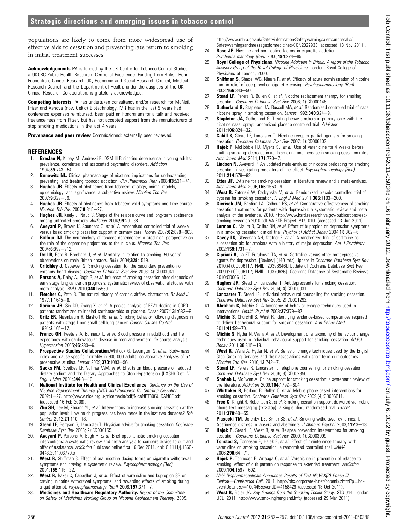populations are likely to come from more widespread use of effective aids to cessation and preventing late return to smoking in initial treatment successes.

Acknowledgements PA is funded by the UK Centre for Tobacco Control Studies, a UKCRC Public Health Research: Centre of Excellence. Funding from British Heart Foundation, Cancer Research UK, Economic and Social Research Council, Medical Research Council, and the Department of Health, under the auspices of the UK Clinical Research Collaboration, is gratefully acknowledged.

Competing interests PA has undertaken consultancy and/or research for McNeil, Pfizer and Xenova (now Celtic) Biotechnology. MR has in the last 5 years had conference expenses reimbursed, been paid an honorarium for a talk and received freelance fees from Pfizer, but has not accepted support from the manufacturers of stop smoking medications in the last 4 years.

Provenance and peer review Commissioned; externally peer reviewed.

### **REFERENCES**

- 1. **Breslau N,** Kilbey M, Andreski P, DSM-III-R nicotine dependence in young adults: prevalence, correlates and associated psychiatric disorders. Addiction 1994:89:743-54.
- 2. **Benowitz NL.** Clinical pharmacology of nicotine: implications for understanding, preventing, and treating tobacco addiction. Clin Pharmacol Ther 2008;83:531-41.
- 3. Hughes JR. Effects of abstinence from tobacco: etiology, animal models, epidemiology, and significance: a subjective review. Nicotine Tob Res 2007:9:329-39
- 4. **Hughes JR.** Effects of abstinence from tobacco: valid symptoms and time course.  $N$ icotine Tob Res 2007 $\cdot$ 9:315-27.
- 5. Hughes JR, Keely J, Naud S. Shape of the relapse curve and long-term abstinence among untreated smokers. Addiction 2004;99:29-38.
- 6. **Aveyard P,** Brown K, Saunders C, et al. A randomised controlled trial of weekly versus basic smoking cessation support in primary care. Thorax  $2007$ ; 62:898-903.
- 7. **Balfour DJ.** The neurobiology of tobacco dependence: a preclinical perspective on the role of the dopamine projections to the nucleus. Nicotine Tob Res 2004:6:899-912.
- 8. **Doll R,** Peto R, Boreham J, et al. Mortality in relation to smoking: 50 years' observations on male British doctors. BMJ 2004;328:1519.
- 9. **Critchley J,** Capewell S. Smoking cessation for the secondary prevention of coronary heart disease. Cochrane Database Syst Rev 2003;(4):CD003041.
- 10. Parsons A, Daley A, Begh R, et al. Influence of smoking cessation after diagnosis of early stage lung cancer on prognosis: systematic review of observational studies with meta-analysis. BMJ 2010;340:b5569.
- 11. Fletcher C, Peto R. The natural history of chronic airflow obstruction. Br Med J 1977:1:1645-8.
- 12. **Soriano JB,** Sin DD, Zhang X, et al. A pooled analysis of FEV1 decline in COPD patients randomized to inhaled corticosteroids or placebo. Chest 2007;131:682-9.
- 13. Gritz ER, Nisenbaum R, Elashoff RE, et al. Smoking behavior following diagnosis in patients with stage I non-small cell lung cancer. Cancer Causes Control  $1991 \cdot 2 \cdot 105 - 12$
- 14. Franco OH, Peeters A, Bonneux L, et al. Blood pressure in adulthood and life expectancy with cardiovascular disease in men and women: life course analysis.  $Hypertension$  2005; 46:280-6.
- 15. Prospective Studies Collaboration, Whitlock G, Lewington S, et al. Body-mass index and cause-specific mortality in 900 000 adults: collaborative analyses of 57 prospective studies. Lancet 2009;373:1083-96.
- 16. Sacks FM, Svetkey LP, Vollmer WM, et al. Effects on blood pressure of reduced dietary sodium and the Dietary Approaches to Stop Hypertension (DASH) Diet. N Engl J Med  $2001:344:3-10$ .
- 17. National Institute for Health and Clinical Excellence. Guidance on the Use of Nicotine Replacement Therapy (NRT) and Bupropion for Smoking Cessation. 2002:1-27. http://www.nice.org.uk/nicemedia/pdf/NiceNRT39GUIDANCE.pdf (accessed 16 Feb 2008).
- 18. **Zhu SH,** Lee M, Zhuang YL, et al. Interventions to increase smoking cessation at the population level: How much progress has been made in the last two decades? Tob Control 2012;21:110-18.
- 19. Stead LF, Bergson G, Lancaster T. Physician advice for smoking cessation. Cochrane Database Syst Rev 2008;(2):CD000165.
- 20. **Aveyard P,** Parsons A, Begh R, et al. Brief opportunistic smoking cessation interventions: a systematic review and meta-analysis to compare advice to quit and offer of assistance. Addiction Published online first 16 Dec 2011. doi:10.1111/j.1360- 0443.2011.03770.x
- 21. West R, Shiffman S. Effect of oral nicotine dosing forms on cigarette withdrawal symptoms and craving: a systematic review. Psychopharmacology (Berl) 2001:155:115-22.
- 22. West R, Baker C, Cappelleri J, et al. Effect of varenicline and bupropion SR on craving, nicotine withdrawal symptoms, and rewarding effects of smoking during a quit attempt. Psychopharmacology (Berl) 2008;197:371-7.
- 23. Medicines and Healthcare Regulatory Authority. Report of the Committee on Safety of Medicines Working Group on Nicotine Replacement Therapy. 2005.

http://www.mhra.gov.uk/Safetyinformation/Safetywarningsalertsandrecalls/ Safetywarningsandmessagesformedicines/CON2022933 (accessed 13 Nov 2011).

- 24. Rose JE. Nicotine and nonnicotine factors in cigarette addiction. Psychopharmacology (Berl) 2006;184:274-85.
- 25. Royal College of Physicians. Nicotine Addiction in Britain. A report of the Tobacco Advisory Group of the Royal College of Physicians. London: Royal College of Physicians of London, 2000.
- 26. Shiffman S, Shadel WG, Niaura R, et al. Efficacy of acute administration of nicotine gum in relief of cue-provoked cigarette craving. Psychopharmacology (Berl)  $2003;166:343-50.$
- 27. **Stead LF**, Perera R, Bullen C, et al. Nicotine replacement therapy for smoking cessation. Cochrane Database Syst Rev 2008;(1):CD000146.
- 28. Sutherland G, Stapleton JA, Russell MA, et al. Randomised controlled trial of nasal nicotine spray in smoking cessation. Lancet 1992;340:324-9.
- 29. **Stapleton JA**, Sutherland G. Treating heavy smokers in primary care with the nicotine nasal spray: randomized placebo-controlled trial. Addiction  $2011 \cdot 106 \cdot 824 - 32$
- 30. **Cahill K,** Stead LF, Lancaster T. Nicotine receptor partial agonists for smoking cessation. Cochrane Database Syst Rev 2007;(1):CD006103.
- 31. **Hajek P,** McRobbie HJ, Myers KE, et al. Use of varenicline for 4 weeks before quitting smoking: decrease in ad lib smoking and increase in smoking cessation rates. Arch Intern Med 2011;171:770-7.
- 32. Lindson N, Aveyard P. An updated meta-analysis of nicotine preloading for smoking cessation: investigating mediators of the effect. Psychopharmacology (Berl) 2011:214:579-92.
- 33. Etter JF. Cytisine for smoking cessation: a literature review and a meta-analysis. Arch Intern Med 2006:166:1553-9.
- 34. West R, Zatonski W, Cedzynska M, et al. Randomized placebo-controlled trial of cytisine for smoking cessation. N Engl J Med 2011;365:1193-200.
- 35. **Gierisch JM,** Bastian LA, Calhoun PS, et al. Comparative effectiveness of smoking cessation treatments for patients with depression: a systematic review and metaanalysis of the evidence. 2010. http://www.hsrd.research.va.gov/publications/esp/ smoking-cessation-2010.pdf VA-ESP Project #09-010. (accessed 13 Jun 2011).
- 36. Lerman C, Niaura R, Collins BN, et al. Effect of bupropion on depression symptoms in a smoking cessation clinical trial. Psychol of Addict Behav  $2004:18:362-6$ .
- 37. Covey LS, Glassman AH, Stetner F, et al. A randomized trial of sertraline as a cessation aid for smokers with a history of major depression. Am J Psychiatry  $2002:159:1731 - 7.$
- 38. Cipriani A, La FT, Furukawa TA, et al. Sertraline versus other antidepressive agents for depression. [Review] [140 refs] Update in Cochrane Database Syst Rev 2010;(4):CD006117. PMID: 20393946].[Update of Cochrane Database Syst Rev. 2009;(2):CD006117; PMID: 19370626]. Cochrane Database of Systematic Reviews. 2010;CD006117.
- 39. Hughes JR, Stead LF, Lancaster T. Antidepressants for smoking cessation. Cochrane Database Syst Rev 2004;(4):CD000031.
- 40. Lancaster T, Stead LF. Individual behavioural counselling for smoking cessation. Cochrane Database Syst Rev 2005;(2):CD001292.
- 41. **Abraham C,** Michie S. A taxonomy of behavior change techniques used in interventions. Health Psychol 2008;27:379-87.
- 42. **Michie S,** Churchill S, West R. Identifying evidence-based competences required to deliver behavioural support for smoking cessation. Ann Behav Med 2011;41:59-70.
- 43. Michie S, Hyder N, Walia A, et al. Development of a taxonomy of behaviour change techniques used in individual behavioural support for smoking cessation. Addict  $Behav$  2011;36:315-19.
- 44. West R, Walia A, Hyder N, et al. Behavior change techniques used by the English Stop Smoking Services and their associations with short-term quit outcomes. Nicotine Tob Res 2010; $12:742-7$ .
- 45. Stead LF, Perera R, Lancaster T. Telephone counselling for smoking cessation. Cochrane Database Syst Rev 2006;(3):CD002850.
- 46. **Shahab L,** McEwen A. Online support for smoking cessation: a systematic review of the literature. Addiction 2009;104:1792-804.
- 47. Whittaker R, Borland R, Bullen C, et al. Mobile phone-based interventions for smoking cessation. Cochrane Database Syst Rev 2009;(4):CD006611.
- 48. **Free C**, Knight R, Robertson S, et al. Smoking cessation support delivered via mobile phone text messaging (txt2stop): a single-blind, randomised trial. Lancet 2011:378:49-55.
- 49. Piasecki TM, Jorenby DE, Smith SS, et al. Smoking withdrawal dynamics: I. Abstinence distress in lapsers and abstainers. J Abnorm Psychol 2003;112:3-13.
- 50. Hajek P, Stead LF, West R, et al. Relapse prevention interventions for smoking cessation. Cochrane Database Syst Rev 2009;(1):CD003999.
- 51. **Tonstad S,** Tonnesen P, Hajek P, et al. Effect of maintenance therapy with varenicline on smoking cessation: a randomized controlled trial. JAMA  $2006:296:64 - 71.$
- 52. **Hajek P,** Tonnesen P, Arteaga C, et al. Varenicline in prevention of relapse to smoking: effect of quit pattern on response to extended treatment. Addiction 2009:104:1597-602.
- 53. Nabi Biopharmaceuticals Announces Results of First NicVAX(R) Phase III Clinical-Conference Call. 2011. http://phx.corporate-ir.net/phoenix.zhtml?p=iroleventDetails&c=100445&eventID=4158429 (accessed 13 Oct 2011).
- 54. West R, Fidler JA. Key findings from the Smoking Toolkit Study. STS 014. London: UCL, 2011. http://www.smokinginengland.info/ (accessed 29 Mar 2011).